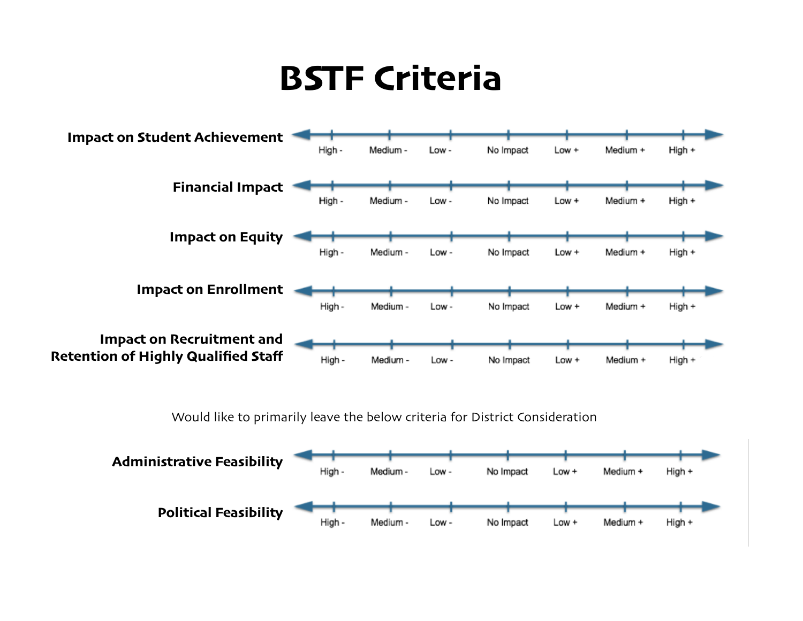

Would like to primarily leave the below criteria for District Consideration